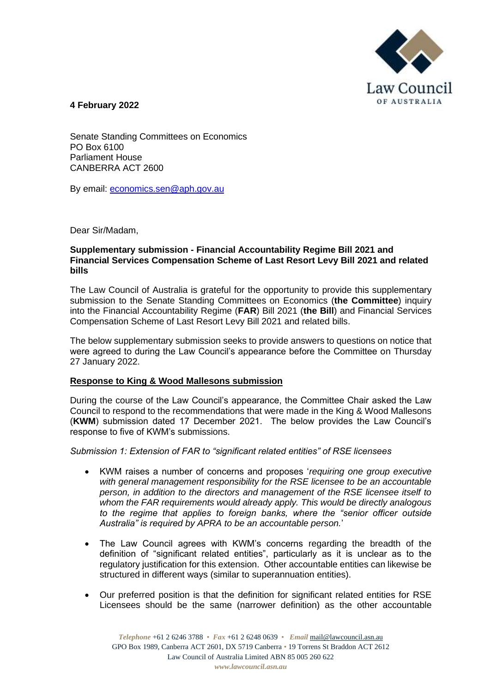

**4 February 2022**

Senate Standing Committees on Economics PO Box 6100 Parliament House CANBERRA ACT 2600

By email: [economics.sen@aph.gov.au](mailto:economics.sen@aph.gov.au)

Dear Sir/Madam,

## **Supplementary submission - Financial Accountability Regime Bill 2021 and Financial Services Compensation Scheme of Last Resort Levy Bill 2021 and related bills**

The Law Council of Australia is grateful for the opportunity to provide this supplementary submission to the Senate Standing Committees on Economics (**the Committee**) inquiry into the Financial Accountability Regime (**FAR**) Bill 2021 (**the Bill**) and Financial Services Compensation Scheme of Last Resort Levy Bill 2021 and related bills.

The below supplementary submission seeks to provide answers to questions on notice that were agreed to during the Law Council's appearance before the Committee on Thursday 27 January 2022.

# **Response to King & Wood Mallesons submission**

During the course of the Law Council's appearance, the Committee Chair asked the Law Council to respond to the recommendations that were made in the King & Wood Mallesons (**KWM**) submission dated 17 December 2021. The below provides the Law Council's response to five of KWM's submissions.

*Submission 1: Extension of FAR to "significant related entities" of RSE licensees*

- KWM raises a number of concerns and proposes '*requiring one group executive with general management responsibility for the RSE licensee to be an accountable person, in addition to the directors and management of the RSE licensee itself to whom the FAR requirements would already apply. This would be directly analogous to the regime that applies to foreign banks, where the "senior officer outside Australia" is required by APRA to be an accountable person.*'
- The Law Council agrees with KWM's concerns regarding the breadth of the definition of "significant related entities", particularly as it is unclear as to the regulatory justification for this extension. Other accountable entities can likewise be structured in different ways (similar to superannuation entities).
- Our preferred position is that the definition for significant related entities for RSE Licensees should be the same (narrower definition) as the other accountable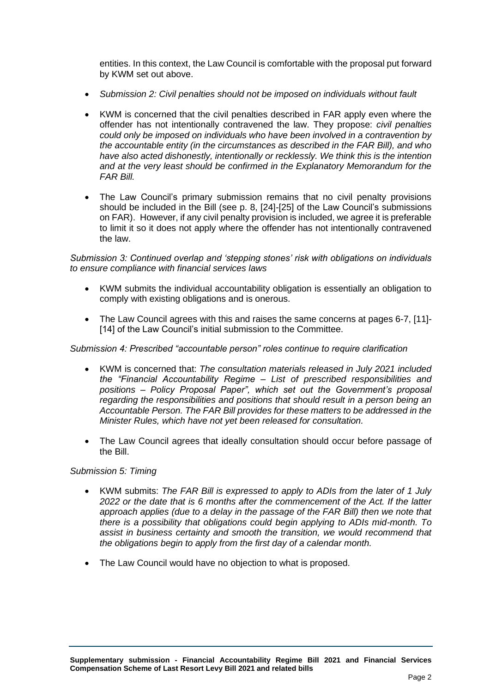entities. In this context, the Law Council is comfortable with the proposal put forward by KWM set out above.

- *Submission 2: Civil penalties should not be imposed on individuals without fault*
- KWM is concerned that the civil penalties described in FAR apply even where the offender has not intentionally contravened the law. They propose: *civil penalties could only be imposed on individuals who have been involved in a contravention by the accountable entity (in the circumstances as described in the FAR Bill), and who have also acted dishonestly, intentionally or recklessly. We think this is the intention and at the very least should be confirmed in the Explanatory Memorandum for the FAR Bill.*
- The Law Council's primary submission remains that no civil penalty provisions should be included in the Bill (see p. 8, [24]-[25] of the Law Council's submissions on FAR). However, if any civil penalty provision is included, we agree it is preferable to limit it so it does not apply where the offender has not intentionally contravened the law.

*Submission 3: Continued overlap and 'stepping stones' risk with obligations on individuals to ensure compliance with financial services laws*

- KWM submits the individual accountability obligation is essentially an obligation to comply with existing obligations and is onerous.
- The Law Council agrees with this and raises the same concerns at pages 6-7, [11]- [14] of the Law Council's initial submission to the Committee.

### *Submission 4: Prescribed "accountable person" roles continue to require clarification*

- KWM is concerned that: *The consultation materials released in July 2021 included the "Financial Accountability Regime – List of prescribed responsibilities and positions – Policy Proposal Paper", which set out the Government's proposal regarding the responsibilities and positions that should result in a person being an Accountable Person. The FAR Bill provides for these matters to be addressed in the Minister Rules, which have not yet been released for consultation.*
- The Law Council agrees that ideally consultation should occur before passage of the Bill.

#### *Submission 5: Timing*

- KWM submits: *The FAR Bill is expressed to apply to ADIs from the later of 1 July 2022 or the date that is 6 months after the commencement of the Act. If the latter approach applies (due to a delay in the passage of the FAR Bill) then we note that there is a possibility that obligations could begin applying to ADIs mid-month. To assist in business certainty and smooth the transition, we would recommend that the obligations begin to apply from the first day of a calendar month.*
- The Law Council would have no objection to what is proposed.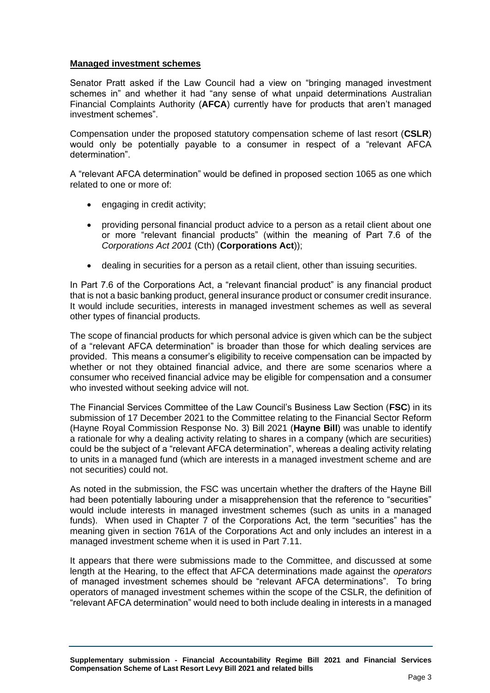# **Managed investment schemes**

Senator Pratt asked if the Law Council had a view on "bringing managed investment schemes in" and whether it had "any sense of what unpaid determinations Australian Financial Complaints Authority (**AFCA**) currently have for products that aren't managed investment schemes".

Compensation under the proposed statutory compensation scheme of last resort (**CSLR**) would only be potentially payable to a consumer in respect of a "relevant AFCA determination".

A "relevant AFCA determination" would be defined in proposed section 1065 as one which related to one or more of:

- engaging in credit activity;
- providing personal financial product advice to a person as a retail client about one or more "relevant financial products" (within the meaning of Part 7.6 of the *Corporations Act 2001* (Cth) (**Corporations Act**));
- dealing in securities for a person as a retail client, other than issuing securities.

In Part 7.6 of the Corporations Act, a "relevant financial product" is any financial product that is not a basic banking product, general insurance product or consumer credit insurance. It would include securities, interests in managed investment schemes as well as several other types of financial products.

The scope of financial products for which personal advice is given which can be the subject of a "relevant AFCA determination" is broader than those for which dealing services are provided. This means a consumer's eligibility to receive compensation can be impacted by whether or not they obtained financial advice, and there are some scenarios where a consumer who received financial advice may be eligible for compensation and a consumer who invested without seeking advice will not.

The Financial Services Committee of the Law Council's Business Law Section (**FSC**) in its submission of 17 December 2021 to the Committee relating to the Financial Sector Reform (Hayne Royal Commission Response No. 3) Bill 2021 (**Hayne Bill**) was unable to identify a rationale for why a dealing activity relating to shares in a company (which are securities) could be the subject of a "relevant AFCA determination", whereas a dealing activity relating to units in a managed fund (which are interests in a managed investment scheme and are not securities) could not.

As noted in the submission, the FSC was uncertain whether the drafters of the Hayne Bill had been potentially labouring under a misapprehension that the reference to "securities" would include interests in managed investment schemes (such as units in a managed funds). When used in Chapter 7 of the Corporations Act, the term "securities" has the meaning given in section 761A of the Corporations Act and only includes an interest in a managed investment scheme when it is used in Part 7.11.

It appears that there were submissions made to the Committee, and discussed at some length at the Hearing, to the effect that AFCA determinations made against the *operators* of managed investment schemes should be "relevant AFCA determinations". To bring operators of managed investment schemes within the scope of the CSLR, the definition of "relevant AFCA determination" would need to both include dealing in interests in a managed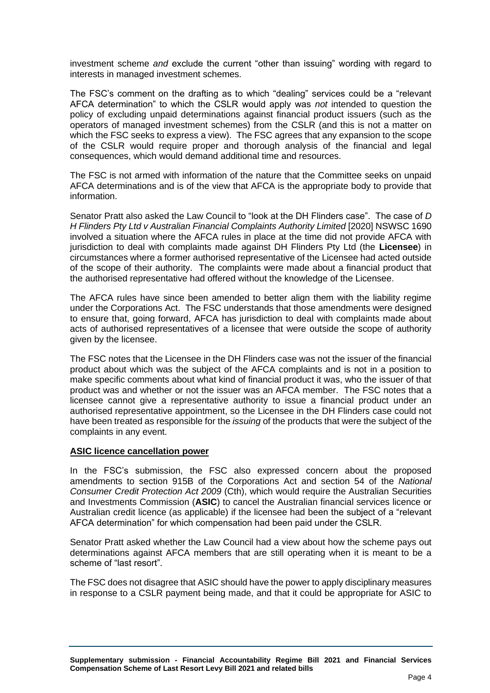investment scheme *and* exclude the current "other than issuing" wording with regard to interests in managed investment schemes.

The FSC's comment on the drafting as to which "dealing" services could be a "relevant AFCA determination" to which the CSLR would apply was *not* intended to question the policy of excluding unpaid determinations against financial product issuers (such as the operators of managed investment schemes) from the CSLR (and this is not a matter on which the FSC seeks to express a view). The FSC agrees that any expansion to the scope of the CSLR would require proper and thorough analysis of the financial and legal consequences, which would demand additional time and resources.

The FSC is not armed with information of the nature that the Committee seeks on unpaid AFCA determinations and is of the view that AFCA is the appropriate body to provide that information.

Senator Pratt also asked the Law Council to "look at the DH Flinders case". The case of *D H Flinders Pty Ltd v Australian Financial Complaints Authority Limited* [2020] NSWSC 1690 involved a situation where the AFCA rules in place at the time did not provide AFCA with jurisdiction to deal with complaints made against DH Flinders Pty Ltd (the **Licensee**) in circumstances where a former authorised representative of the Licensee had acted outside of the scope of their authority. The complaints were made about a financial product that the authorised representative had offered without the knowledge of the Licensee.

The AFCA rules have since been amended to better align them with the liability regime under the Corporations Act. The FSC understands that those amendments were designed to ensure that, going forward, AFCA has jurisdiction to deal with complaints made about acts of authorised representatives of a licensee that were outside the scope of authority given by the licensee.

The FSC notes that the Licensee in the DH Flinders case was not the issuer of the financial product about which was the subject of the AFCA complaints and is not in a position to make specific comments about what kind of financial product it was, who the issuer of that product was and whether or not the issuer was an AFCA member. The FSC notes that a licensee cannot give a representative authority to issue a financial product under an authorised representative appointment, so the Licensee in the DH Flinders case could not have been treated as responsible for the *issuing* of the products that were the subject of the complaints in any event.

# **ASIC licence cancellation power**

In the FSC's submission, the FSC also expressed concern about the proposed amendments to section 915B of the Corporations Act and section 54 of the *National Consumer Credit Protection Act 2009* (Cth), which would require the Australian Securities and Investments Commission (**ASIC**) to cancel the Australian financial services licence or Australian credit licence (as applicable) if the licensee had been the subject of a "relevant AFCA determination" for which compensation had been paid under the CSLR.

Senator Pratt asked whether the Law Council had a view about how the scheme pays out determinations against AFCA members that are still operating when it is meant to be a scheme of "last resort".

The FSC does not disagree that ASIC should have the power to apply disciplinary measures in response to a CSLR payment being made, and that it could be appropriate for ASIC to